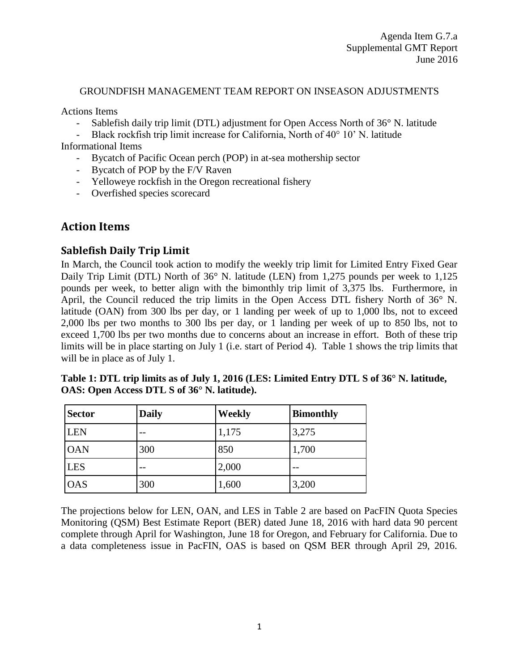#### GROUNDFISH MANAGEMENT TEAM REPORT ON INSEASON ADJUSTMENTS

Actions Items

- Sablefish daily trip limit (DTL) adjustment for Open Access North of 36° N. latitude
- Black rockfish trip limit increase for California, North of 40° 10' N. latitude

Informational Items

- Bycatch of Pacific Ocean perch (POP) in at-sea mothership sector
- Bycatch of POP by the F/V Raven
- Yelloweye rockfish in the Oregon recreational fishery
- Overfished species scorecard

# **Action Items**

### **Sablefish Daily Trip Limit**

In March, the Council took action to modify the weekly trip limit for Limited Entry Fixed Gear Daily Trip Limit (DTL) North of 36° N. latitude (LEN) from 1,275 pounds per week to 1,125 pounds per week, to better align with the bimonthly trip limit of 3,375 lbs. Furthermore, in April, the Council reduced the trip limits in the Open Access DTL fishery North of 36° N. latitude (OAN) from 300 lbs per day, or 1 landing per week of up to 1,000 lbs, not to exceed 2,000 lbs per two months to 300 lbs per day, or 1 landing per week of up to 850 lbs, not to exceed 1,700 lbs per two months due to concerns about an increase in effort. Both of these trip limits will be in place starting on July 1 (i.e. start of Period 4). [Table 1](#page-0-0) shows the trip limits that will be in place as of July 1.

| <b>Sector</b> | <b>Daily</b> | Weekly | <b>Bimonthly</b> |
|---------------|--------------|--------|------------------|
| <b>LEN</b>    |              | 1,175  | 3,275            |
| <b>OAN</b>    | 300          | 850    | 1,700            |
| <b>LES</b>    |              | 2,000  |                  |
| <b>OAS</b>    | 300          | 1,600  | 3,200            |

<span id="page-0-0"></span>**Table 1: DTL trip limits as of July 1, 2016 (LES: Limited Entry DTL S of 36° N. latitude, OAS: Open Access DTL S of 36° N. latitude).**

The projections below for LEN, OAN, and LES in [Table 2](#page-1-0) are based on PacFIN Quota Species Monitoring (QSM) Best Estimate Report (BER) dated June 18, 2016 with hard data 90 percent complete through April for Washington, June 18 for Oregon, and February for California. Due to a data completeness issue in PacFIN, OAS is based on QSM BER through April 29, 2016.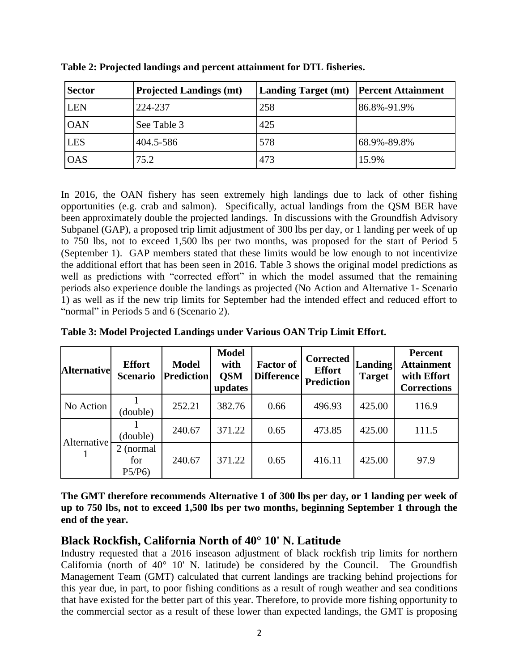| <b>Sector</b> | <b>Projected Landings (mt)</b> | Landing Target (mt)   Percent Attainment |             |
|---------------|--------------------------------|------------------------------------------|-------------|
| <b>LEN</b>    | 224-237                        | 258                                      | 86.8%-91.9% |
| <b>OAN</b>    | See Table 3                    | 425                                      |             |
| <b>LES</b>    | 404.5-586                      | 578                                      | 68.9%-89.8% |
| <b>OAS</b>    | 75.2                           | 473                                      | 15.9%       |

<span id="page-1-0"></span>**Table 2: Projected landings and percent attainment for DTL fisheries.**

In 2016, the OAN fishery has seen extremely high landings due to lack of other fishing opportunities (e.g. crab and salmon). Specifically, actual landings from the QSM BER have been approximately double the projected landings. In discussions with the Groundfish Advisory Subpanel (GAP), a proposed trip limit adjustment of 300 lbs per day, or 1 landing per week of up to 750 lbs, not to exceed 1,500 lbs per two months, was proposed for the start of Period 5 (September 1). GAP members stated that these limits would be low enough to not incentivize the additional effort that has been seen in 2016. [Table 3](#page-1-1) shows the original model predictions as well as predictions with "corrected effort" in which the model assumed that the remaining periods also experience double the landings as projected (No Action and Alternative 1- Scenario 1) as well as if the new trip limits for September had the intended effect and reduced effort to "normal" in Periods 5 and  $\overrightarrow{6}$  (Scenario 2).

| <b>Alternative</b> | <b>Effort</b><br><b>Scenario</b> | <b>Model</b><br><b>Prediction</b> | <b>Model</b><br>with<br><b>QSM</b><br>updates | <b>Factor of</b><br><b>Difference</b> | <b>Corrected</b><br><b>Effort</b><br><b>Prediction</b> | <b>Landing</b><br><b>Target</b> | <b>Percent</b><br><b>Attainment</b><br>with Effort<br><b>Corrections</b> |
|--------------------|----------------------------------|-----------------------------------|-----------------------------------------------|---------------------------------------|--------------------------------------------------------|---------------------------------|--------------------------------------------------------------------------|
| No Action          | (double)                         | 252.21                            | 382.76                                        | 0.66                                  | 496.93                                                 | 425.00                          | 116.9                                                                    |
| Alternative        | (double)                         | 240.67                            | 371.22                                        | 0.65                                  | 473.85                                                 | 425.00                          | 111.5                                                                    |
|                    | normal<br>2<br>for<br>P5/P6      | 240.67                            | 371.22                                        | 0.65                                  | 416.11                                                 | 425.00                          | 97.9                                                                     |

<span id="page-1-1"></span>**Table 3: Model Projected Landings under Various OAN Trip Limit Effort.**

**The GMT therefore recommends Alternative 1 of 300 lbs per day, or 1 landing per week of up to 750 lbs, not to exceed 1,500 lbs per two months, beginning September 1 through the end of the year.**

# **Black Rockfish, California North of 40° 10' N. Latitude**

Industry requested that a 2016 inseason adjustment of black rockfish trip limits for northern California (north of  $40^{\circ}$  10' N. latitude) be considered by the Council. The Groundfish Management Team (GMT) calculated that current landings are tracking behind projections for this year due, in part, to poor fishing conditions as a result of rough weather and sea conditions that have existed for the better part of this year. Therefore, to provide more fishing opportunity to the commercial sector as a result of these lower than expected landings, the GMT is proposing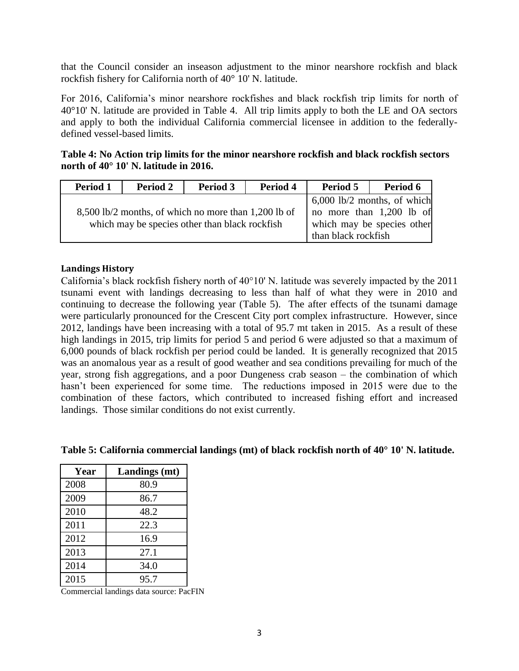that the Council consider an inseason adjustment to the minor nearshore rockfish and black rockfish fishery for California north of 40° 10' N. latitude.

For 2016, California's minor nearshore rockfishes and black rockfish trip limits for north of 40°10' N. latitude are provided in [Table 4.](#page-2-0) All trip limits apply to both the LE and OA sectors and apply to both the individual California commercial licensee in addition to the federallydefined vessel-based limits.

<span id="page-2-0"></span>**Table 4: No Action trip limits for the minor nearshore rockfish and black rockfish sectors north of 40° 10' N. latitude in 2016.**

| Period 1 | <b>Period 2</b>                                                                                        | Period 3            | Period 4                                                                                | Period 5 | Period 6 |
|----------|--------------------------------------------------------------------------------------------------------|---------------------|-----------------------------------------------------------------------------------------|----------|----------|
|          | 8,500 lb/2 months, of which no more than 1,200 lb of<br>which may be species other than black rockfish |                     | $6,000$ lb/2 months, of which<br>no more than 1,200 lb of<br>which may be species other |          |          |
|          |                                                                                                        | than black rockfish |                                                                                         |          |          |

#### **Landings History**

California's black rockfish fishery north of 40°10' N. latitude was severely impacted by the 2011 tsunami event with landings decreasing to less than half of what they were in 2010 and continuing to decrease the following year [\(Table 5\)](#page-2-1). The after effects of the tsunami damage were particularly pronounced for the Crescent City port complex infrastructure. However, since 2012, landings have been increasing with a total of 95.7 mt taken in 2015. As a result of these high landings in 2015, trip limits for period 5 and period 6 were adjusted so that a maximum of 6,000 pounds of black rockfish per period could be landed. It is generally recognized that 2015 was an anomalous year as a result of good weather and sea conditions prevailing for much of the year, strong fish aggregations, and a poor Dungeness crab season – the combination of which hasn't been experienced for some time. The reductions imposed in 2015 were due to the combination of these factors, which contributed to increased fishing effort and increased landings. Those similar conditions do not exist currently.

<span id="page-2-1"></span>

|  |  | Table 5: California commercial landings (mt) of black rockfish north of 40° 10' N. latitude. |  |  |
|--|--|----------------------------------------------------------------------------------------------|--|--|
|  |  |                                                                                              |  |  |

| Year | Landings (mt) |
|------|---------------|
| 2008 | 80.9          |
| 2009 | 86.7          |
| 2010 | 48.2          |
| 2011 | 22.3          |
| 2012 | 16.9          |
| 2013 | 27.1          |
| 2014 | 34.0          |
| 2015 | 95.7          |

Commercial landings data source: PacFIN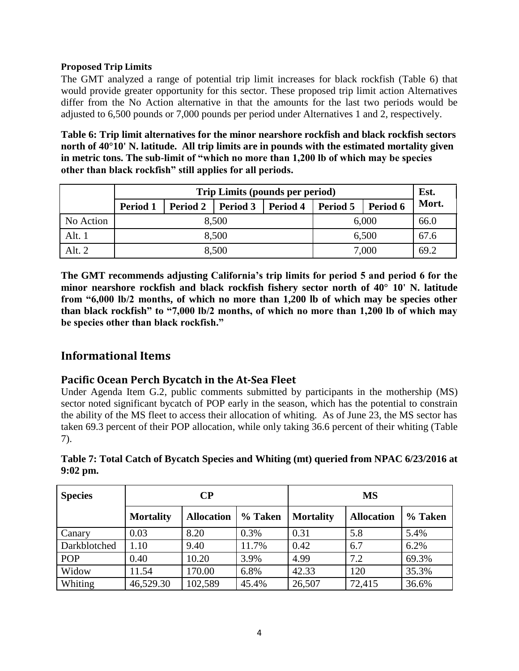#### **Proposed Trip Limits**

The GMT analyzed a range of potential trip limit increases for black rockfish [\(Table 6\)](#page-3-0) that would provide greater opportunity for this sector. These proposed trip limit action Alternatives differ from the No Action alternative in that the amounts for the last two periods would be adjusted to 6,500 pounds or 7,000 pounds per period under Alternatives 1 and 2, respectively.

<span id="page-3-0"></span>**Table 6: Trip limit alternatives for the minor nearshore rockfish and black rockfish sectors north of 40°10' N. latitude. All trip limits are in pounds with the estimated mortality given in metric tons. The sub-limit of "which no more than 1,200 lb of which may be species other than black rockfish" still applies for all periods.**

|           | Trip Limits (pounds per period) |                 |          |          |          |          |       |  |  |  |
|-----------|---------------------------------|-----------------|----------|----------|----------|----------|-------|--|--|--|
|           | <b>Period 1</b>                 | <b>Period 2</b> | Period 3 | Period 4 | Period 5 | Period 6 | Mort. |  |  |  |
| No Action |                                 |                 | 8,500    | 6,000    | 66.0     |          |       |  |  |  |
| Alt. $1$  |                                 |                 | 8,500    |          | 6,500    | 67.6     |       |  |  |  |
| Alt. 2    |                                 |                 | 8,500    | 7,000    | 69.2     |          |       |  |  |  |

**The GMT recommends adjusting California's trip limits for period 5 and period 6 for the minor nearshore rockfish and black rockfish fishery sector north of 40° 10' N. latitude from "6,000 lb/2 months, of which no more than 1,200 lb of which may be species other than black rockfish" to "7,000 lb/2 months, of which no more than 1,200 lb of which may be species other than black rockfish."**

# **Informational Items**

## **Pacific Ocean Perch Bycatch in the At-Sea Fleet**

Under Agenda Item G.2, public comments submitted by participants in the mothership (MS) sector noted significant bycatch of POP early in the season, which has the potential to constrain the ability of the MS fleet to access their allocation of whiting. As of June 23, the MS sector has taken 69.3 percent of their POP allocation, while only taking 36.6 percent of their whiting [\(Table](#page-3-1)  [7\)](#page-3-1).

| <b>Species</b> |                  | $\bf CP$          |         | <b>MS</b>        |                   |         |  |  |
|----------------|------------------|-------------------|---------|------------------|-------------------|---------|--|--|
|                | <b>Mortality</b> | <b>Allocation</b> | % Taken | <b>Mortality</b> | <b>Allocation</b> | % Taken |  |  |
| Canary         | 0.03             | 8.20              | 0.3%    | 0.31             | 5.8               | 5.4%    |  |  |
| Darkblotched   | 1.10             | 9.40              | 11.7%   | 0.42             | 6.7               | 6.2%    |  |  |
| POP            | 0.40             | 10.20             | 3.9%    | 4.99             | 7.2               | 69.3%   |  |  |
| Widow          | 11.54            | 170.00            | 6.8%    | 42.33            | 120               | 35.3%   |  |  |
| Whiting        | 46,529.30        | 102,589           | 45.4%   | 26,507           | 72,415            | 36.6%   |  |  |

### <span id="page-3-1"></span>**Table 7: Total Catch of Bycatch Species and Whiting (mt) queried from NPAC 6/23/2016 at 9:02 pm.**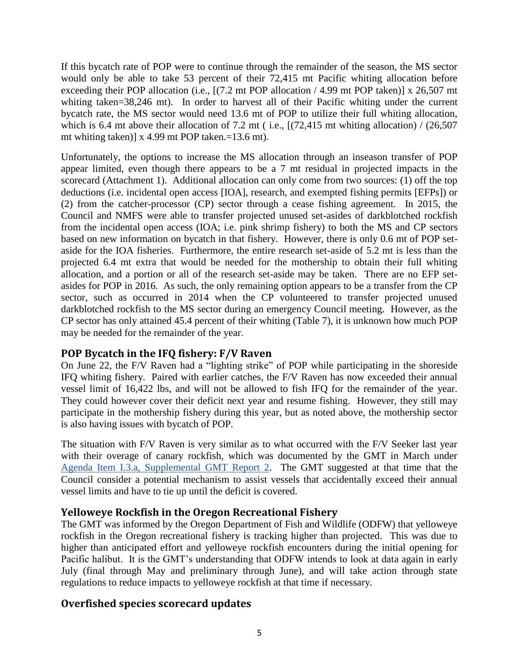If this bycatch rate of POP were to continue through the remainder of the season, the MS sector would only be able to take 53 percent of their 72,415 mt Pacific whiting allocation before exceeding their POP allocation (i.e., [(7.2 mt POP allocation / 4.99 mt POP taken)] x 26,507 mt whiting taken=38,246 mt). In order to harvest all of their Pacific whiting under the current bycatch rate, the MS sector would need 13.6 mt of POP to utilize their full whiting allocation, which is 6.4 mt above their allocation of 7.2 mt (i.e.,  $[(72, 415 \text{ mt}$  whiting allocation) /  $(26, 507 \text{ m})$ mt whiting taken)] x 4.99 mt POP taken.=13.6 mt).

Unfortunately, the options to increase the MS allocation through an inseason transfer of POP appear limited, even though there appears to be a 7 mt residual in projected impacts in the scorecard (Attachment 1). Additional allocation can only come from two sources: (1) off the top deductions (i.e. incidental open access [IOA], research, and exempted fishing permits [EFPs]) or (2) from the catcher-processor (CP) sector through a cease fishing agreement. In 2015, the Council and NMFS were able to transfer projected unused set-asides of darkblotched rockfish from the incidental open access (IOA; i.e. pink shrimp fishery) to both the MS and CP sectors based on new information on bycatch in that fishery. However, there is only 0.6 mt of POP setaside for the IOA fisheries. Furthermore, the entire research set-aside of 5.2 mt is less than the projected 6.4 mt extra that would be needed for the mothership to obtain their full whiting allocation, and a portion or all of the research set-aside may be taken. There are no EFP setasides for POP in 2016. As such, the only remaining option appears to be a transfer from the CP sector, such as occurred in 2014 when the CP volunteered to transfer projected unused darkblotched rockfish to the MS sector during an emergency Council meeting. However, as the CP sector has only attained 45.4 percent of their whiting [\(Table 7\)](#page-3-1), it is unknown how much POP may be needed for the remainder of the year.

## **POP Bycatch in the IFQ fishery: F/V Raven**

On June 22, the F/V Raven had a "lighting strike" of POP while participating in the shoreside IFQ whiting fishery. Paired with earlier catches, the F/V Raven has now exceeded their annual vessel limit of 16,422 lbs, and will not be allowed to fish IFQ for the remainder of the year. They could however cover their deficit next year and resume fishing. However, they still may participate in the mothership fishery during this year, but as noted above, the mothership sector is also having issues with bycatch of POP.

The situation with F/V Raven is very similar as to what occurred with the F/V Seeker last year with their overage of canary rockfish, which was documented by the GMT in March under [Agenda Item I.3.a, Supplemental GMT Report 2.](http://www.pcouncil.org/wp-content/uploads/2016/03/I3a_Sup_GMT_Rpt2_SEEKER_MAR2016BB.pdf) The GMT suggested at that time that the Council consider a potential mechanism to assist vessels that accidentally exceed their annual vessel limits and have to tie up until the deficit is covered.

## **Yelloweye Rockfish in the Oregon Recreational Fishery**

The GMT was informed by the Oregon Department of Fish and Wildlife (ODFW) that yelloweye rockfish in the Oregon recreational fishery is tracking higher than projected. This was due to higher than anticipated effort and yelloweye rockfish encounters during the initial opening for Pacific halibut. It is the GMT's understanding that ODFW intends to look at data again in early July (final through May and preliminary through June), and will take action through state regulations to reduce impacts to yelloweye rockfish at that time if necessary.

## **Overfished species scorecard updates**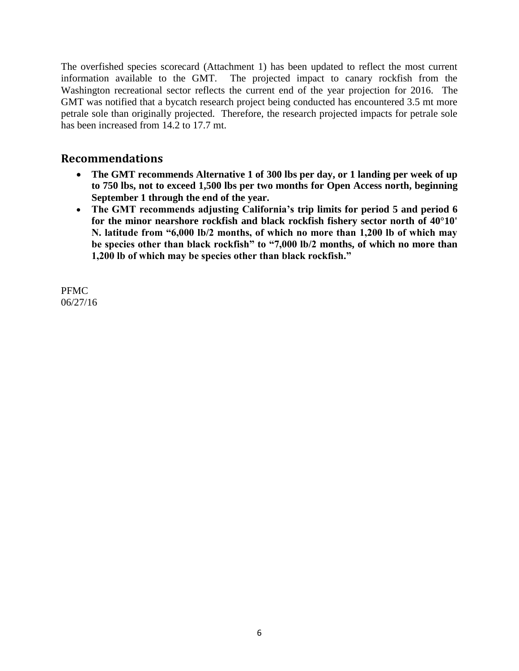The overfished species scorecard (Attachment 1) has been updated to reflect the most current information available to the GMT. The projected impact to canary rockfish from the Washington recreational sector reflects the current end of the year projection for 2016. The GMT was notified that a bycatch research project being conducted has encountered 3.5 mt more petrale sole than originally projected. Therefore, the research projected impacts for petrale sole has been increased from 14.2 to 17.7 mt.

# **Recommendations**

- **The GMT recommends Alternative 1 of 300 lbs per day, or 1 landing per week of up to 750 lbs, not to exceed 1,500 lbs per two months for Open Access north, beginning September 1 through the end of the year.**
- **The GMT recommends adjusting California's trip limits for period 5 and period 6 for the minor nearshore rockfish and black rockfish fishery sector north of 40°10' N. latitude from "6,000 lb/2 months, of which no more than 1,200 lb of which may be species other than black rockfish" to "7,000 lb/2 months, of which no more than 1,200 lb of which may be species other than black rockfish."**

PFMC 06/27/16